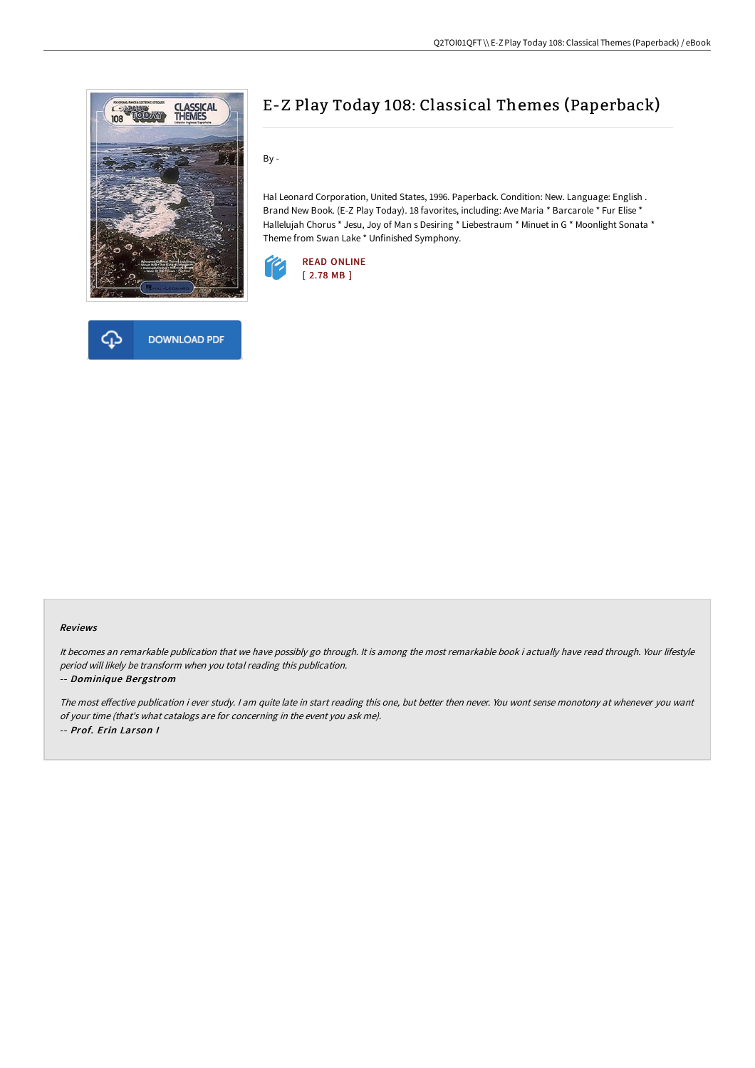



# E-Z Play Today 108: Classical Themes (Paperback)

By -

Hal Leonard Corporation, United States, 1996. Paperback. Condition: New. Language: English . Brand New Book. (E-Z Play Today). 18 favorites, including: Ave Maria \* Barcarole \* Fur Elise \* Hallelujah Chorus \* Jesu, Joy of Man s Desiring \* Liebestraum \* Minuet in G \* Moonlight Sonata \* Theme from Swan Lake \* Unfinished Symphony.



#### Reviews

It becomes an remarkable publication that we have possibly go through. It is among the most remarkable book i actually have read through. Your lifestyle period will likely be transform when you total reading this publication.

#### -- Dominique Bergstrom

The most effective publication i ever study. I am quite late in start reading this one, but better then never. You wont sense monotony at whenever you want of your time (that's what catalogs are for concerning in the event you ask me). -- Prof. Erin Larson I